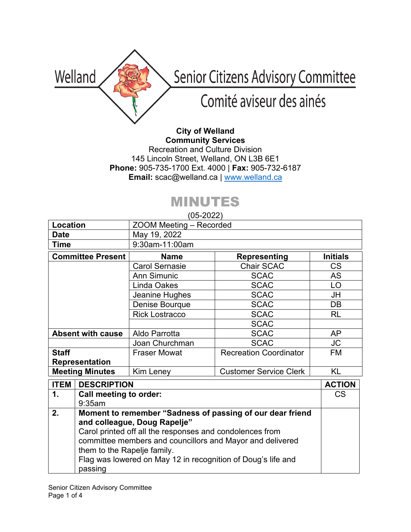

**City of Welland Community Services** Recreation and Culture Division 145 Lincoln Street, Welland, ON L3B 6E1 **Phone:** 905-735-1700 Ext. 4000 | **Fax:** 905-732-6187 **Email:** scac@welland.ca | [www.welland.ca](http://www.welland.ca/)

## MINUTES

(05-2022)

| Location                 | $\cup$ $\cup$ $\sim$ $\sim$ $\sim$ $\sim$<br>ZOOM Meeting - Recorded |                               |                 |
|--------------------------|----------------------------------------------------------------------|-------------------------------|-----------------|
| <b>Date</b>              | May 19, 2022                                                         |                               |                 |
| <b>Time</b>              | 9:30am-11:00am                                                       |                               |                 |
| <b>Committee Present</b> | <b>Name</b>                                                          | <b>Representing</b>           | <b>Initials</b> |
|                          | <b>Carol Sernasie</b>                                                | Chair SCAC                    | <b>CS</b>       |
|                          | <b>Ann Simunic</b>                                                   | <b>SCAC</b>                   | <b>AS</b>       |
|                          | Linda Oakes                                                          | <b>SCAC</b>                   | LO              |
|                          | Jeanine Hughes                                                       | <b>SCAC</b>                   | JH              |
|                          | Denise Bourque                                                       | <b>SCAC</b>                   | DB              |
|                          | <b>Rick Lostracco</b>                                                | <b>SCAC</b>                   | <b>RL</b>       |
|                          |                                                                      | <b>SCAC</b>                   |                 |
| <b>Absent with cause</b> | Aldo Parrotta                                                        | <b>SCAC</b>                   | AP              |
|                          | Joan Churchman                                                       | <b>SCAC</b>                   | <b>JC</b>       |
| <b>Staff</b>             | <b>Fraser Mowat</b>                                                  | <b>Recreation Coordinator</b> | <b>FM</b>       |
| <b>Representation</b>    |                                                                      |                               |                 |
| <b>Meeting Minutes</b>   | <b>Kim Leney</b>                                                     | <b>Customer Service Clerk</b> | <b>KL</b>       |

| <b>ITEM</b> | <b>DESCRIPTION</b>                                                                                                                                                                                                                                                                                                           | <b>ACTION</b> |
|-------------|------------------------------------------------------------------------------------------------------------------------------------------------------------------------------------------------------------------------------------------------------------------------------------------------------------------------------|---------------|
| 1.          | Call meeting to order:                                                                                                                                                                                                                                                                                                       | CS            |
|             | 9:35am                                                                                                                                                                                                                                                                                                                       |               |
| 2.          | Moment to remember "Sadness of passing of our dear friend<br>and colleague, Doug Rapelje"<br>Carol printed off all the responses and condolences from<br>committee members and councillors and Mayor and delivered<br>them to the Rapelje family.<br>Flag was lowered on May 12 in recognition of Doug's life and<br>passing |               |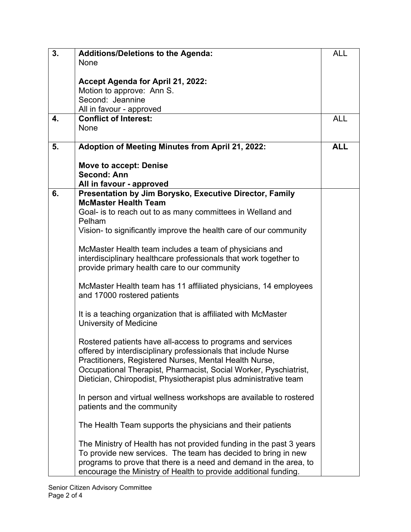| 3. | <b>Additions/Deletions to the Agenda:</b>                           | <b>ALL</b> |
|----|---------------------------------------------------------------------|------------|
|    | None                                                                |            |
|    |                                                                     |            |
|    | Accept Agenda for April 21, 2022:                                   |            |
|    | Motion to approve: Ann S.                                           |            |
|    | Second: Jeannine                                                    |            |
|    | All in favour - approved                                            |            |
| 4. | <b>Conflict of Interest:</b>                                        | <b>ALL</b> |
|    | None                                                                |            |
| 5. | Adoption of Meeting Minutes from April 21, 2022:                    | <b>ALL</b> |
|    |                                                                     |            |
|    | <b>Move to accept: Denise</b>                                       |            |
|    | <b>Second: Ann</b>                                                  |            |
|    | All in favour - approved                                            |            |
| 6. | Presentation by Jim Borysko, Executive Director, Family             |            |
|    | <b>McMaster Health Team</b>                                         |            |
|    | Goal- is to reach out to as many committees in Welland and          |            |
|    | Pelham                                                              |            |
|    | Vision- to significantly improve the health care of our community   |            |
|    |                                                                     |            |
|    | McMaster Health team includes a team of physicians and              |            |
|    | interdisciplinary healthcare professionals that work together to    |            |
|    | provide primary health care to our community                        |            |
|    |                                                                     |            |
|    | McMaster Health team has 11 affiliated physicians, 14 employees     |            |
|    | and 17000 rostered patients                                         |            |
|    |                                                                     |            |
|    | It is a teaching organization that is affiliated with McMaster      |            |
|    | University of Medicine                                              |            |
|    |                                                                     |            |
|    | Rostered patients have all-access to programs and services          |            |
|    | offered by interdisciplinary professionals that include Nurse       |            |
|    | Practitioners, Registered Nurses, Mental Health Nurse,              |            |
|    | Occupational Therapist, Pharmacist, Social Worker, Pyschiatrist,    |            |
|    | Dietician, Chiropodist, Physiotherapist plus administrative team    |            |
|    | In person and virtual wellness workshops are available to rostered  |            |
|    |                                                                     |            |
|    | patients and the community                                          |            |
|    | The Health Team supports the physicians and their patients          |            |
|    |                                                                     |            |
|    | The Ministry of Health has not provided funding in the past 3 years |            |
|    | To provide new services. The team has decided to bring in new       |            |
|    | programs to prove that there is a need and demand in the area, to   |            |
|    | encourage the Ministry of Health to provide additional funding.     |            |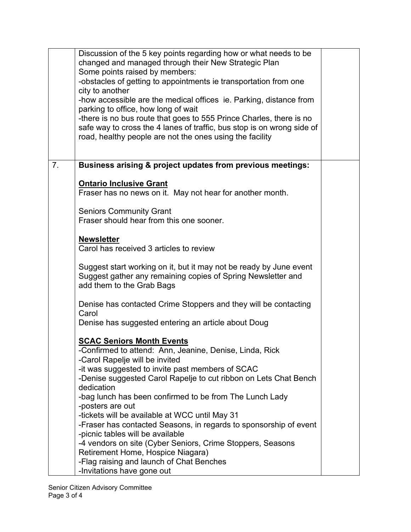|    | Discussion of the 5 key points regarding how or what needs to be<br>changed and managed through their New Strategic Plan                                                                                  |  |
|----|-----------------------------------------------------------------------------------------------------------------------------------------------------------------------------------------------------------|--|
|    | Some points raised by members:<br>-obstacles of getting to appointments ie transportation from one                                                                                                        |  |
|    | city to another<br>-how accessible are the medical offices ie. Parking, distance from                                                                                                                     |  |
|    | parking to office, how long of wait                                                                                                                                                                       |  |
|    | -there is no bus route that goes to 555 Prince Charles, there is no<br>safe way to cross the 4 lanes of traffic, bus stop is on wrong side of<br>road, healthy people are not the ones using the facility |  |
| 7. | Business arising & project updates from previous meetings:                                                                                                                                                |  |
|    | <b>Ontario Inclusive Grant</b><br>Fraser has no news on it. May not hear for another month.                                                                                                               |  |
|    | <b>Seniors Community Grant</b><br>Fraser should hear from this one sooner.                                                                                                                                |  |
|    | <b>Newsletter</b><br>Carol has received 3 articles to review                                                                                                                                              |  |
|    | Suggest start working on it, but it may not be ready by June event<br>Suggest gather any remaining copies of Spring Newsletter and<br>add them to the Grab Bags                                           |  |
|    | Denise has contacted Crime Stoppers and they will be contacting<br>Carol                                                                                                                                  |  |
|    | Denise has suggested entering an article about Doug                                                                                                                                                       |  |
|    | <b>SCAC Seniors Month Events</b><br>-Confirmed to attend: Ann, Jeanine, Denise, Linda, Rick                                                                                                               |  |
|    | -Carol Rapelje will be invited                                                                                                                                                                            |  |
|    | -it was suggested to invite past members of SCAC                                                                                                                                                          |  |
|    | -Denise suggested Carol Rapelje to cut ribbon on Lets Chat Bench<br>dedication                                                                                                                            |  |
|    | -bag lunch has been confirmed to be from The Lunch Lady                                                                                                                                                   |  |
|    | -posters are out<br>-tickets will be available at WCC until May 31                                                                                                                                        |  |
|    | -Fraser has contacted Seasons, in regards to sponsorship of event                                                                                                                                         |  |
|    | -picnic tables will be available                                                                                                                                                                          |  |
|    | -4 vendors on site (Cyber Seniors, Crime Stoppers, Seasons                                                                                                                                                |  |
|    | Retirement Home, Hospice Niagara)<br>-Flag raising and launch of Chat Benches                                                                                                                             |  |
|    | -Invitations have gone out                                                                                                                                                                                |  |